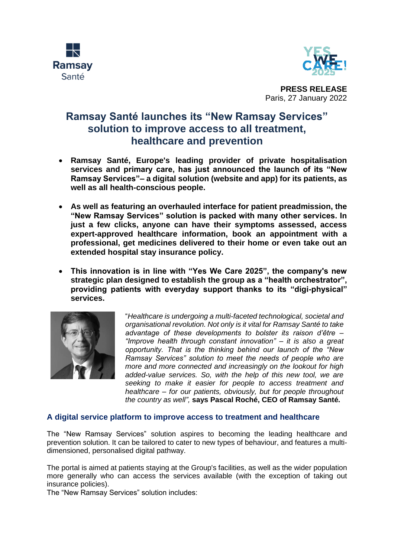



**PRESS RELEASE** Paris, 27 January 2022

## **Ramsay Santé launches its "New Ramsay Services" solution to improve access to all treatment, healthcare and prevention**

- **Ramsay Santé, Europe's leading provider of private hospitalisation services and primary care, has just announced the launch of its "New Ramsay Services"– a digital solution (website and app) for its patients, as well as all health-conscious people.**
- **As well as featuring an overhauled interface for patient preadmission, the "New Ramsay Services" solution is packed with many other services. In just a few clicks, anyone can have their symptoms assessed, access expert-approved healthcare information, book an appointment with a professional, get medicines delivered to their home or even take out an extended hospital stay insurance policy.**
- **This innovation is in line with "Yes We Care 2025", the company's new strategic plan designed to establish the group as a "health orchestrator", providing patients with everyday support thanks to its "digi-physical" services.**



"*Healthcare is undergoing a multi-faceted technological, societal and organisational revolution. Not only is it vital for Ramsay Santé to take advantage of these developments to bolster its raison d'être – "Improve health through constant innovation" – it is also a great opportunity. That is the thinking behind our launch of the "New Ramsay Services" solution to meet the needs of people who are more and more connected and increasingly on the lookout for high added-value services. So, with the help of this new tool, we are seeking to make it easier for people to access treatment and healthcare – for our patients, obviously, but for people throughout the country as well",* **says Pascal Roché, CEO of Ramsay Santé.** 

## **A digital service platform to improve access to treatment and healthcare**

The "New Ramsay Services" solution aspires to becoming the leading healthcare and prevention solution. It can be tailored to cater to new types of behaviour, and features a multidimensioned, personalised digital pathway.

The portal is aimed at patients staying at the Group's facilities, as well as the wider population more generally who can access the services available (with the exception of taking out insurance policies).

The "New Ramsay Services" solution includes: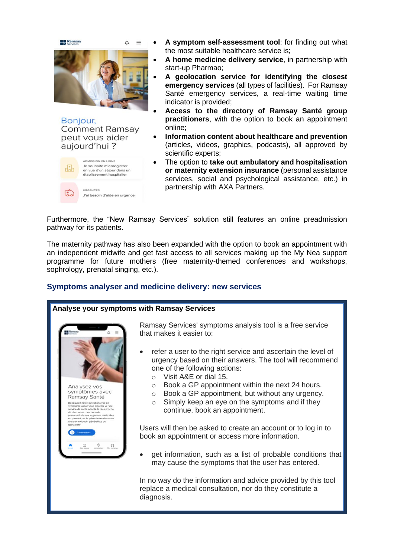

J'ai besoin d'aide en urgence

URGENCES

- **A symptom self-assessment tool**: for finding out what the most suitable healthcare service is;
- **A home medicine delivery service**, in partnership with start-up Pharmao;
- **A geolocation service for identifying the closest emergency services** (all types of facilities). For Ramsay Santé emergency services, a real-time waiting time indicator is provided;
- **Access to the directory of Ramsay Santé group practitioners**, with the option to book an appointment online;
- **Information content about healthcare and prevention**  (articles, videos, graphics, podcasts), all approved by scientific experts;
- The option to **take out ambulatory and hospitalisation or maternity extension insurance** (personal assistance services, social and psychological assistance, etc.) in partnership with AXA Partners.

Furthermore, the "New Ramsay Services" solution still features an online preadmission pathway for its patients.

The maternity pathway has also been expanded with the option to book an appointment with an independent midwife and get fast access to all services making up the My Nea support programme for future mothers (free maternity-themed conferences and workshops, sophrology, prenatal singing, etc.).

## **Symptoms analyser and medicine delivery: new services**

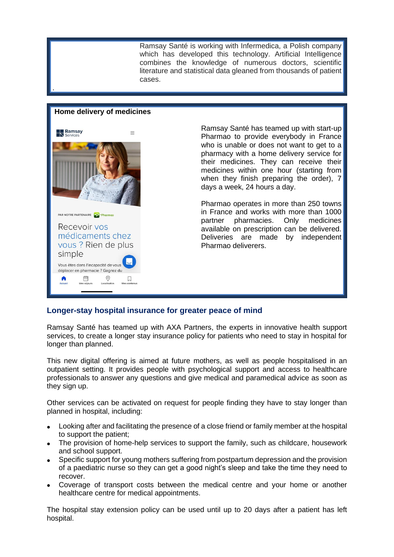Ramsay Santé is working with Infermedica, a Polish company which has developed this technology. Artificial Intelligence combines the knowledge of numerous doctors, scientific literature and statistical data gleaned from thousands of patient cases.

# **Home delivery of medicines Ramsay**<br> **N** Services  $=$ PAR NOTRE PARTENAIRE Recevoir vos médicaments chez vous ? Rien de plus simple Vous êtes dans l'incapacité de vous déplacer en pharmacie ? Gagnez du 曲  $\circledcirc$  $\hfill \square$ Localisation

.

Ramsay Santé has teamed up with start-up Pharmao to provide everybody in France who is unable or does not want to get to a pharmacy with a home delivery service for their medicines. They can receive their medicines within one hour (starting from when they finish preparing the order), 7 days a week, 24 hours a day.

Pharmao operates in more than 250 towns in France and works with more than 1000<br>partner pharmacies. Only medicines partner pharmacies. available on prescription can be delivered. Deliveries are made by independent Pharmao deliverers.

## **Longer-stay hospital insurance for greater peace of mind**

Ramsay Santé has teamed up with AXA Partners, the experts in innovative health support services, to create a longer stay insurance policy for patients who need to stay in hospital for longer than planned.

This new digital offering is aimed at future mothers, as well as people hospitalised in an outpatient setting. It provides people with psychological support and access to healthcare professionals to answer any questions and give medical and paramedical advice as soon as they sign up.

Other services can be activated on request for people finding they have to stay longer than planned in hospital, including:

- Looking after and facilitating the presence of a close friend or family member at the hospital to support the patient;
- The provision of home-help services to support the family, such as childcare, housework and school support.
- Specific support for young mothers suffering from postpartum depression and the provision of a paediatric nurse so they can get a good night's sleep and take the time they need to recover.
- Coverage of transport costs between the medical centre and your home or another healthcare centre for medical appointments.

The hospital stay extension policy can be used until up to 20 days after a patient has left hospital.